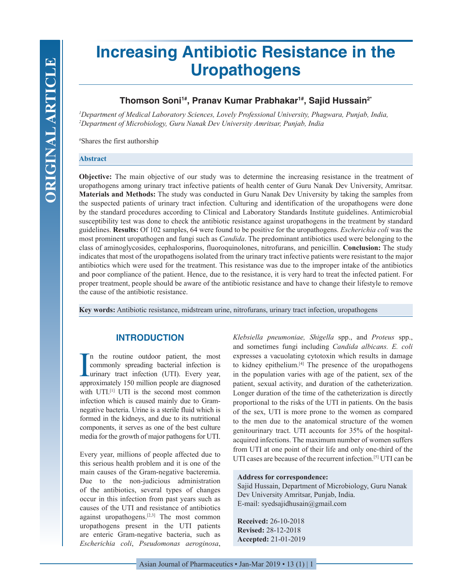# **Increasing Antibiotic Resistance in the Uropathogens**

## **Thomson Soni1#, Pranav Kumar Prabhakar1#, Sajid Hussain2\***

*1 Department of Medical Laboratory Sciences, Lovely Professional University, Phagwara, Punjab, India, 2 Department of Microbiology, Guru Nanak Dev University Amritsar, Punjab, India*

# Shares the first authorship

### **Abstract**

**Objective:** The main objective of our study was to determine the increasing resistance in the treatment of uropathogens among urinary tract infective patients of health center of Guru Nanak Dev University, Amritsar. **Materials and Methods:** The study was conducted in Guru Nanak Dev University by taking the samples from the suspected patients of urinary tract infection. Culturing and identification of the uropathogens were done by the standard procedures according to Clinical and Laboratory Standards Institute guidelines. Antimicrobial susceptibility test was done to check the antibiotic resistance against uropathogens in the treatment by standard guidelines. **Results:** Of 102 samples, 64 were found to be positive for the uropathogens. *Escherichia coli* was the most prominent uropathogen and fungi such as *Candida*. The predominant antibiotics used were belonging to the class of aminoglycosides, cephalosporins, fluoroquinolones, nitrofurans, and penicillin. **Conclusion:** The study indicates that most of the uropathogens isolated from the urinary tract infective patients were resistant to the major antibiotics which were used for the treatment. This resistance was due to the improper intake of the antibiotics and poor compliance of the patient. Hence, due to the resistance, it is very hard to treat the infected patient. For proper treatment, people should be aware of the antibiotic resistance and have to change their lifestyle to remove the cause of the antibiotic resistance.

**Key words:** Antibiotic resistance, midstream urine, nitrofurans, urinary tract infection, uropathogens

## **INTRODUCTION**

In the routine outdoor patient, the most commonly spreading bacterial infection is urinary tract infection (UTI). Every year, approximately 150 million people are diagnosed n the routine outdoor patient, the most commonly spreading bacterial infection is urinary tract infection (UTI). Every year, with UTI.<sup>[1]</sup> UTI is the second most common infection which is caused mainly due to Gramnegative bacteria. Urine is a sterile fluid which is formed in the kidneys, and due to its nutritional components, it serves as one of the best culture media for the growth of major pathogens for UTI.

Every year, millions of people affected due to this serious health problem and it is one of the main causes of the Gram-negative bacteremia. Due to the non-judicious administration of the antibiotics, several types of changes occur in this infection from past years such as causes of the UTI and resistance of antibiotics against uropathogens.[2,3] The most common uropathogens present in the UTI patients are enteric Gram-negative bacteria, such as *Escherichia coli*, *Pseudomonas aeroginosa*, *Klebsiella pneumoniae, Shigella* spp., and *Proteus* spp., and sometimes fungi including *Candida albicans. E. coli*  expresses a vacuolating cytotoxin which results in damage to kidney epithelium.[4] The presence of the uropathogens in the population varies with age of the patient, sex of the patient, sexual activity, and duration of the catheterization. Longer duration of the time of the catheterization is directly proportional to the risks of the UTI in patients. On the basis of the sex, UTI is more prone to the women as compared to the men due to the anatomical structure of the women genitourinary tract. UTI accounts for 35% of the hospitalacquired infections. The maximum number of women suffers from UTI at one point of their life and only one-third of the UTI cases are because of the recurrent infection.<sup>[5]</sup> UTI can be

#### **Address for correspondence:**

Sajid Hussain, Department of Microbiology, Guru Nanak Dev University Amritsar, Punjab, India. E-mail: syedsajidhusain@gmail.com

**Received:** 26-10-2018 **Revised:** 28-12-2018 **Accepted:** 21-01-2019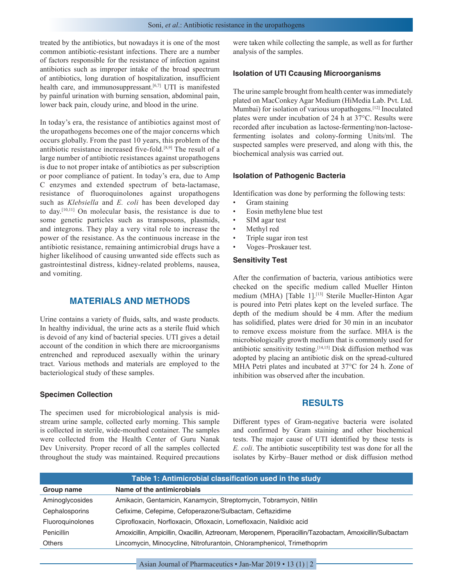treated by the antibiotics, but nowadays it is one of the most common antibiotic-resistant infections. There are a number of factors responsible for the resistance of infection against antibiotics such as improper intake of the broad spectrum of antibiotics, long duration of hospitalization, insufficient health care, and immunosuppressant.<sup>[6,7]</sup> UTI is manifested by painful urination with burning sensation, abdominal pain, lower back pain, cloudy urine, and blood in the urine.

In today's era, the resistance of antibiotics against most of the uropathogens becomes one of the major concerns which occurs globally. From the past 10 years, this problem of the antibiotic resistance increased five-fold.[8,9] The result of a large number of antibiotic resistances against uropathogens is due to not proper intake of antibiotics as per subscription or poor compliance of patient. In today's era, due to Amp C enzymes and extended spectrum of beta-lactamase, resistance of fluoroquinolones against uropathogens such as *Klebsiella* and *E. coli* has been developed day to day.[10,11] On molecular basis, the resistance is due to some genetic particles such as transposons, plasmids, and integrons. They play a very vital role to increase the power of the resistance. As the continuous increase in the antibiotic resistance, remaining antimicrobial drugs have a higher likelihood of causing unwanted side effects such as gastrointestinal distress, kidney-related problems, nausea, and vomiting.

## **MATERIALS AND METHODS**

Urine contains a variety of fluids, salts, and waste products. In healthy individual, the urine acts as a sterile fluid which is devoid of any kind of bacterial species. UTI gives a detail account of the condition in which there are microorganisms entrenched and reproduced asexually within the urinary tract. Various methods and materials are employed to the bacteriological study of these samples.

#### **Specimen Collection**

The specimen used for microbiological analysis is midstream urine sample, collected early morning. This sample is collected in sterile, wide-mouthed container. The samples were collected from the Health Center of Guru Nanak Dev University. Proper record of all the samples collected throughout the study was maintained. Required precautions were taken while collecting the sample, as well as for further analysis of the samples.

#### **Isolation of UTI Ccausing Microorganisms**

The urine sample brought from health center was immediately plated on MacConkey Agar Medium (HiMedia Lab. Pvt. Ltd. Mumbai) for isolation of various uropathogens.[12] Inoculated plates were under incubation of 24 h at 37°C. Results were recorded after incubation as lactose-fermenting/non-lactosefermenting isolates and colony-forming Units/ml. The suspected samples were preserved, and along with this, the biochemical analysis was carried out.

#### **Isolation of Pathogenic Bacteria**

Identification was done by performing the following tests:

- Gram staining
- Eosin methylene blue test
- SIM agar test
- Methyl red
- Triple sugar iron test
- Voges–Proskauer test.

#### **Sensitivity Test**

After the confirmation of bacteria, various antibiotics were checked on the specific medium called Mueller Hinton medium (MHA) [Table 1].<sup>[13]</sup> Sterile Mueller-Hinton Agar is poured into Petri plates kept on the leveled surface. The depth of the medium should be 4 mm. After the medium has solidified, plates were dried for 30 min in an incubator to remove excess moisture from the surface. MHA is the microbiologically growth medium that is commonly used for antibiotic sensitivity testing.[14,15] Disk diffusion method was adopted by placing an antibiotic disk on the spread-cultured MHA Petri plates and incubated at 37°C for 24 h. Zone of inhibition was observed after the incubation.

## **RESULTS**

Different types of Gram-negative bacteria were isolated and confirmed by Gram staining and other biochemical tests. The major cause of UTI identified by these tests is *E. coli*. The antibiotic susceptibility test was done for all the isolates by Kirby–Bauer method or disk diffusion method

| Table 1: Antimicrobial classification used in the study |                                                                                                          |  |  |
|---------------------------------------------------------|----------------------------------------------------------------------------------------------------------|--|--|
| Group name                                              | Name of the antimicrobials                                                                               |  |  |
| Aminoglycosides                                         | Amikacin, Gentamicin, Kanamycin, Streptomycin, Tobramycin, Nitilin                                       |  |  |
| Cephalosporins                                          | Cefixime, Cefepime, Cefoperazone/Sulbactam, Ceftazidime                                                  |  |  |
| Fluoroguinolones                                        | Ciprofloxacin, Norfloxacin, Ofloxacin, Lomefloxacin, Nalidixic acid                                      |  |  |
| Penicillin                                              | Amoxicillin, Ampicillin, Oxacillin, Aztreonam, Meropenem, Piperacillin/Tazobactam, Amoxicillin/Sulbactam |  |  |
| <b>Others</b>                                           | Lincomycin, Minocycline, Nitrofurantoin, Chloramphenicol, Trimethoprim                                   |  |  |

Asian Journal of Pharmaceutics • Jan-Mar 2019 • 13 (1) | 2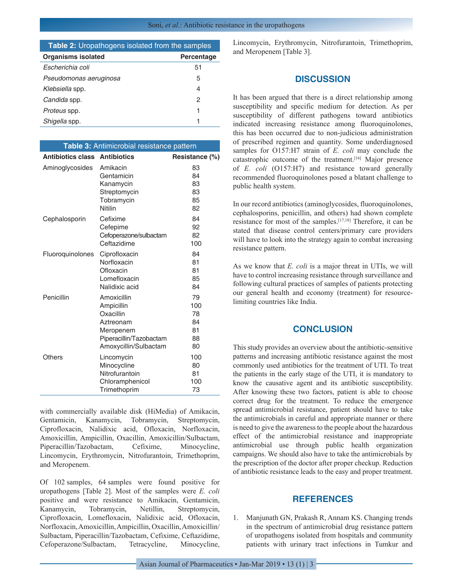## **Table 2:** Uropathogens isolated from the samples

| <b>Organisms isolated</b> | Percentage |
|---------------------------|------------|
| Escherichia coli          | 51         |
| Pseudomonas aeruginosa    | 5          |
| Klebsiella spp.           | 4          |
| Candida spp.              | 2          |
| <i>Proteus</i> spp.       |            |
| Shigella spp.             |            |
|                           |            |

| Table 3: Antimicrobial resistance pattern |                                                                                                                      |                                         |  |  |
|-------------------------------------------|----------------------------------------------------------------------------------------------------------------------|-----------------------------------------|--|--|
| <b>Antibiotics class</b>                  | <b>Antibiotics</b>                                                                                                   | Resistance (%)                          |  |  |
| Aminoglycosides                           | Amikacin<br>Gentamicin<br>Kanamycin<br>Streptomycin<br>Tobramycin<br><b>Nitilin</b>                                  | 83<br>84<br>83<br>83<br>85<br>82        |  |  |
| Cephalosporin                             | Cefixime<br>Cefepime<br>Cefoperazone/sulbactam<br>Ceftazidime                                                        | 84<br>92<br>82<br>100                   |  |  |
| Fluoroquinolones                          | Ciprofloxacin<br>Norfloxacin<br>Ofloxacin<br>Lomefloxacin<br>Nalidixic acid                                          | 84<br>81<br>81<br>85<br>84              |  |  |
| Penicillin                                | Amoxicillin<br>Ampicillin<br>Oxacillin<br>Aztreonam<br>Meropenem<br>Piperacillin/Tazobactam<br>Amoxycillin/Sulbactam | 79<br>100<br>78<br>84<br>81<br>88<br>80 |  |  |
| Others                                    | Lincomycin<br>Minocycline<br>Nitrofurantoin<br>Chloramphenicol<br>Trimethoprim                                       | 100<br>80<br>81<br>100<br>73            |  |  |

with commercially available disk (HiMedia) of Amikacin, Gentamicin, Kanamycin, Tobramycin, Streptomycin, Ciprofloxacin, Nalidixic acid, Ofloxacin, Norfloxacin, Amoxicillin, Ampicillin, Oxacillin, Amoxicillin/Sulbactam, Piperacillin/Tazobactam, Cefixime, Minocycline, Lincomycin, Erythromycin, Nitrofurantoin, Trimethoprim, and Meropenem.

Of 102 samples, 64 samples were found positive for uropathogens [Table 2]. Most of the samples were *E. coli* positive and were resistance to Amikacin, Gentamicin, Kanamycin, Tobramycin, Netillin, Streptomycin, Ciprofloxacin, Lomefloxacin, Nalidixic acid, Ofloxacin, Norfloxacin, Amoxicillin, Ampicillin, Oxacillin, Amoxicillin/ Sulbactam, Piperacillin/Tazobactam, Cefixime, Ceftazidime, Cefoperazone/Sulbactam, Tetracycline, Minocycline,

Lincomycin, Erythromycin, Nitrofurantoin, Trimethoprim, and Meropenem [Table 3].

## **DISCUSSION**

It has been argued that there is a direct relationship among susceptibility and specific medium for detection. As per susceptibility of different pathogens toward antibiotics indicated increasing resistance among fluoroquinolones, this has been occurred due to non-judicious administration of prescribed regimen and quantity. Some underdiagnosed samples for O157:H7 strain of *E. coli* may conclude the catastrophic outcome of the treatment.[16] Major presence of *E. coli* (O157:H7) and resistance toward generally recommended fluoroquinolones posed a blatant challenge to public health system.

In our record antibiotics (aminoglycosides, fluoroquinolones, cephalosporins, penicillin, and others) had shown complete resistance for most of the samples.[17,18] Therefore, it can be stated that disease control centers/primary care providers will have to look into the strategy again to combat increasing resistance pattern.

As we know that *E. coli* is a major threat in UTIs, we will have to control increasing resistance through surveillance and following cultural practices of samples of patients protecting our general health and economy (treatment) for resourcelimiting countries like India.

## **CONCLUSION**

This study provides an overview about the antibiotic-sensitive patterns and increasing antibiotic resistance against the most commonly used antibiotics for the treatment of UTI. To treat the patients in the early stage of the UTI, it is mandatory to know the causative agent and its antibiotic susceptibility. After knowing these two factors, patient is able to choose correct drug for the treatment. To reduce the emergence spread antimicrobial resistance, patient should have to take the antimicrobials in careful and appropriate manner or there is need to give the awareness to the people about the hazardous effect of the antimicrobial resistance and inappropriate antimicrobial use through public health organization campaigns. We should also have to take the antimicrobials by the prescription of the doctor after proper checkup. Reduction of antibiotic resistance leads to the easy and proper treatment.

## **REFERENCES**

1. Manjunath GN, Prakash R, Annam KS. Changing trends in the spectrum of antimicrobial drug resistance pattern of uropathogens isolated from hospitals and community patients with urinary tract infections in Tumkur and